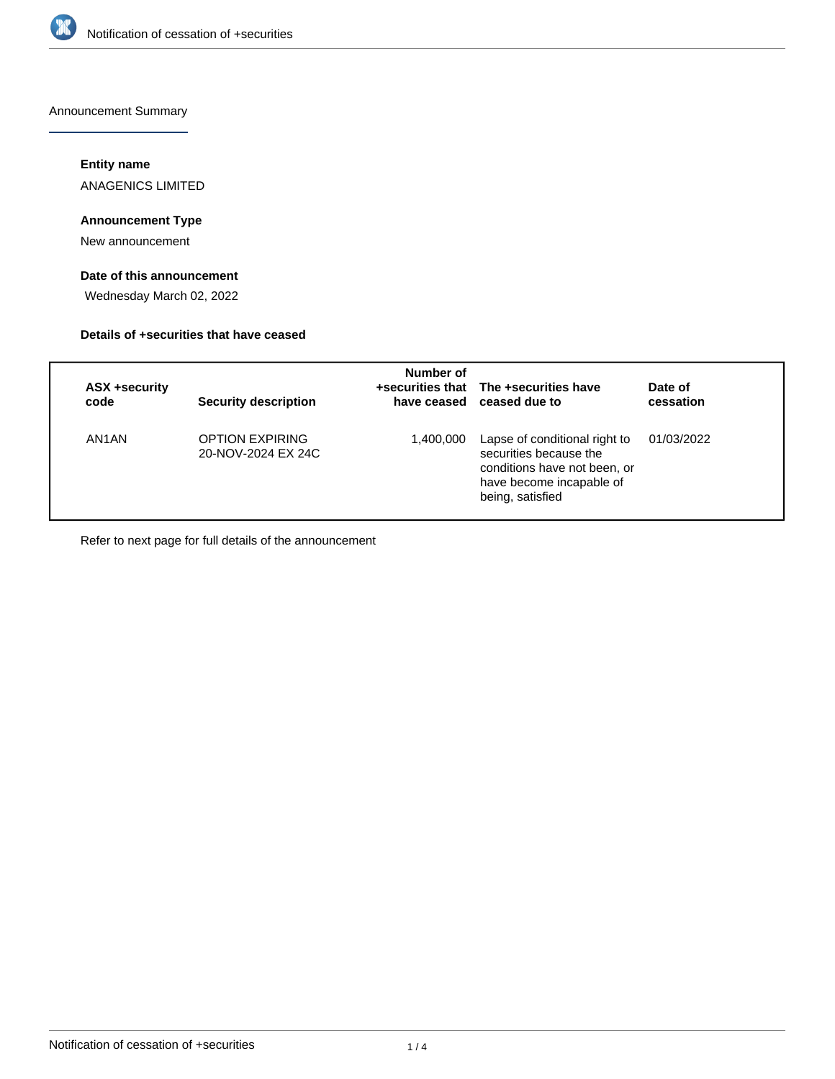

Announcement Summary

# **Entity name**

ANAGENICS LIMITED

# **Announcement Type**

New announcement

# **Date of this announcement**

Wednesday March 02, 2022

## **Details of +securities that have ceased**

| <b>ASX +security</b><br>code | <b>Security description</b>                  | Number of | +securities that The +securities have<br>have ceased ceased due to                                                                      | Date of<br>cessation |
|------------------------------|----------------------------------------------|-----------|-----------------------------------------------------------------------------------------------------------------------------------------|----------------------|
| AN1AN                        | <b>OPTION EXPIRING</b><br>20-NOV-2024 EX 24C | 1,400,000 | Lapse of conditional right to<br>securities because the<br>conditions have not been, or<br>have become incapable of<br>being, satisfied | 01/03/2022           |

Refer to next page for full details of the announcement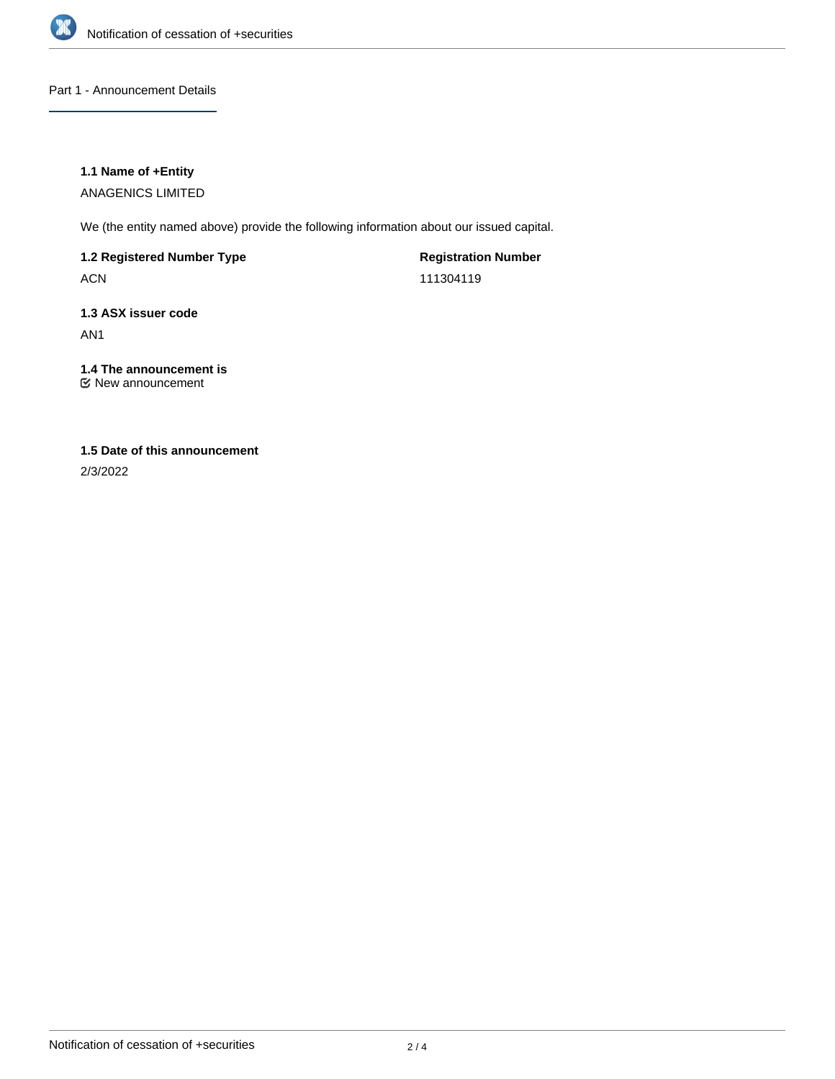

## Part 1 - Announcement Details

## **1.1 Name of +Entity**

ANAGENICS LIMITED

We (the entity named above) provide the following information about our issued capital.

# **1.2 Registered Number Type**

ACN

**Registration Number** 111304119

# **1.3 ASX issuer code**

AN1

# **1.4 The announcement is**

New announcement

# **1.5 Date of this announcement**

2/3/2022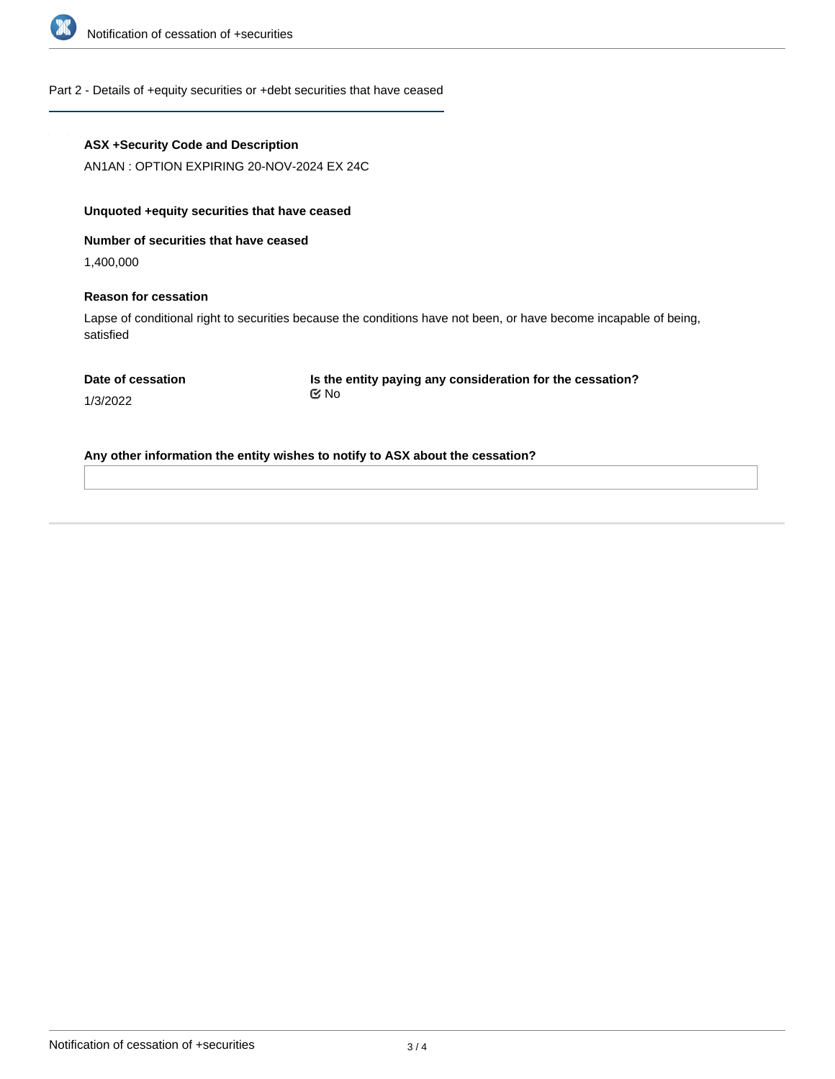

## Part 2 - Details of +equity securities or +debt securities that have ceased

#### **ASX +Security Code and Description**

AN1AN : OPTION EXPIRING 20-NOV-2024 EX 24C

# **Unquoted +equity securities that have ceased**

**Number of securities that have ceased**

1,400,000

## **Reason for cessation**

Lapse of conditional right to securities because the conditions have not been, or have become incapable of being, satisfied

|  |  |  | Date of cessation |  |
|--|--|--|-------------------|--|
|--|--|--|-------------------|--|

**Is the entity paying any consideration for the cessation?** No

1/3/2022

**Any other information the entity wishes to notify to ASX about the cessation?**